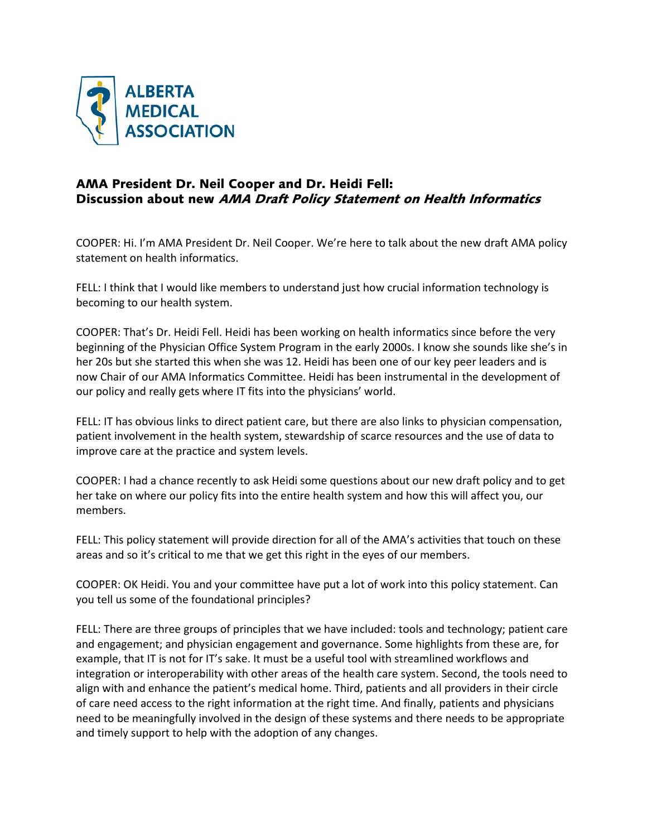

## AMA President Dr. Neil Cooper and Dr. Heidi Fell: Discussion about new AMA Draft Policy Statement on Health Informatics

COOPER: Hi. I'm AMA President Dr. Neil Cooper. We're here to talk about the new draft AMA policy statement on health informatics.

FELL: I think that I would like members to understand just how crucial information technology is becoming to our health system.

COOPER: That's Dr. Heidi Fell. Heidi has been working on health informatics since before the very beginning of the Physician Office System Program in the early 2000s. I know she sounds like she's in her 20s but she started this when she was 12. Heidi has been one of our key peer leaders and is now Chair of our AMA Informatics Committee. Heidi has been instrumental in the development of our policy and really gets where IT fits into the physicians' world.

FELL: IT has obvious links to direct patient care, but there are also links to physician compensation, patient involvement in the health system, stewardship of scarce resources and the use of data to improve care at the practice and system levels.

COOPER: I had a chance recently to ask Heidi some questions about our new draft policy and to get her take on where our policy fits into the entire health system and how this will affect you, our members.

FELL: This policy statement will provide direction for all of the AMA's activities that touch on these areas and so it's critical to me that we get this right in the eyes of our members.

COOPER: OK Heidi. You and your committee have put a lot of work into this policy statement. Can you tell us some of the foundational principles?

FELL: There are three groups of principles that we have included: tools and technology; patient care and engagement; and physician engagement and governance. Some highlights from these are, for example, that IT is not for IT's sake. It must be a useful tool with streamlined workflows and integration or interoperability with other areas of the health care system. Second, the tools need to align with and enhance the patient's medical home. Third, patients and all providers in their circle of care need access to the right information at the right time. And finally, patients and physicians need to be meaningfully involved in the design of these systems and there needs to be appropriate and timely support to help with the adoption of any changes.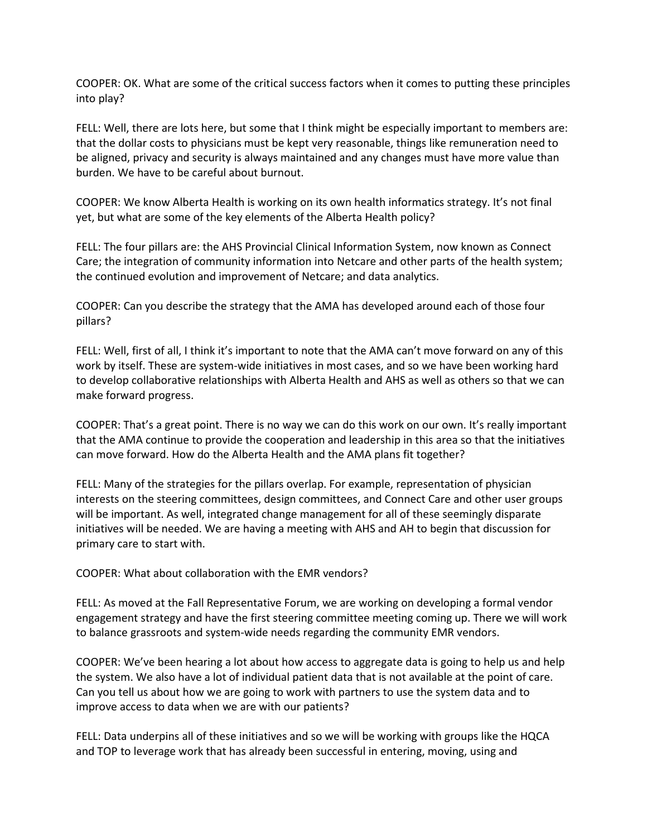COOPER: OK. What are some of the critical success factors when it comes to putting these principles into play?

FELL: Well, there are lots here, but some that I think might be especially important to members are: that the dollar costs to physicians must be kept very reasonable, things like remuneration need to be aligned, privacy and security is always maintained and any changes must have more value than burden. We have to be careful about burnout.

COOPER: We know Alberta Health is working on its own health informatics strategy. It's not final yet, but what are some of the key elements of the Alberta Health policy?

FELL: The four pillars are: the AHS Provincial Clinical Information System, now known as Connect Care; the integration of community information into Netcare and other parts of the health system; the continued evolution and improvement of Netcare; and data analytics.

COOPER: Can you describe the strategy that the AMA has developed around each of those four pillars?

FELL: Well, first of all, I think it's important to note that the AMA can't move forward on any of this work by itself. These are system-wide initiatives in most cases, and so we have been working hard to develop collaborative relationships with Alberta Health and AHS as well as others so that we can make forward progress.

COOPER: That's a great point. There is no way we can do this work on our own. It's really important that the AMA continue to provide the cooperation and leadership in this area so that the initiatives can move forward. How do the Alberta Health and the AMA plans fit together?

FELL: Many of the strategies for the pillars overlap. For example, representation of physician interests on the steering committees, design committees, and Connect Care and other user groups will be important. As well, integrated change management for all of these seemingly disparate initiatives will be needed. We are having a meeting with AHS and AH to begin that discussion for primary care to start with.

COOPER: What about collaboration with the EMR vendors?

FELL: As moved at the Fall Representative Forum, we are working on developing a formal vendor engagement strategy and have the first steering committee meeting coming up. There we will work to balance grassroots and system-wide needs regarding the community EMR vendors.

COOPER: We've been hearing a lot about how access to aggregate data is going to help us and help the system. We also have a lot of individual patient data that is not available at the point of care. Can you tell us about how we are going to work with partners to use the system data and to improve access to data when we are with our patients?

FELL: Data underpins all of these initiatives and so we will be working with groups like the HQCA and TOP to leverage work that has already been successful in entering, moving, using and